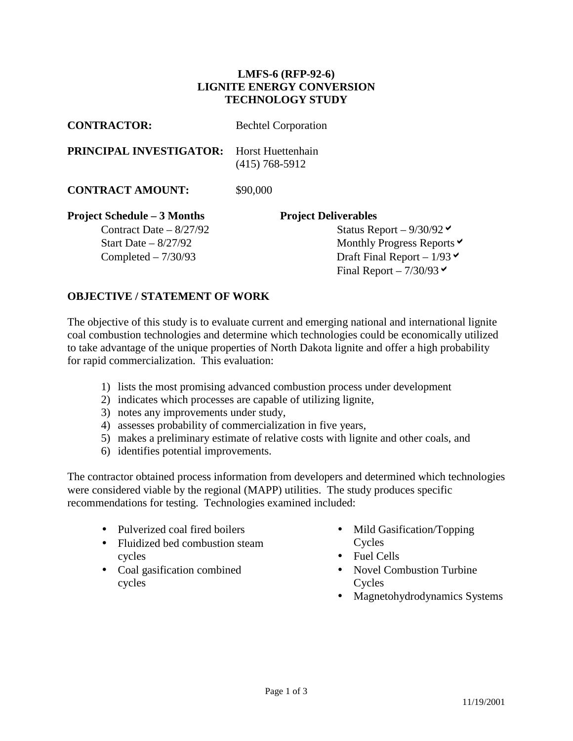## **LMFS-6 (RFP-92-6) LIGNITE ENERGY CONVERSION TECHNOLOGY STUDY**

| <b>CONTRACTOR:</b>                 | <b>Bechtel Corporation</b>                      |
|------------------------------------|-------------------------------------------------|
| <b>PRINCIPAL INVESTIGATOR:</b>     | Horst Huettenhain<br>$(415)$ 768-5912           |
| <b>CONTRACT AMOUNT:</b>            | \$90,000                                        |
| <b>Project Schedule – 3 Months</b> | <b>Project Deliverables</b>                     |
| Contract Date $-8/27/92$           | Status Report – $9/30/92$                       |
| Start Date $-8/27/92$              | Monthly Progress Reports $\vee$                 |
| Completed $-7/30/93$               | Draft Final Report – $1/93 \blacktriangleright$ |
|                                    | Final Report $-7/30/93$                         |

## **OBJECTIVE / STATEMENT OF WORK**

The objective of this study is to evaluate current and emerging national and international lignite coal combustion technologies and determine which technologies could be economically utilized to take advantage of the unique properties of North Dakota lignite and offer a high probability for rapid commercialization. This evaluation:

- 1) lists the most promising advanced combustion process under development
- 2) indicates which processes are capable of utilizing lignite,
- 3) notes any improvements under study,
- 4) assesses probability of commercialization in five years,
- 5) makes a preliminary estimate of relative costs with lignite and other coals, and
- 6) identifies potential improvements.

The contractor obtained process information from developers and determined which technologies were considered viable by the regional (MAPP) utilities. The study produces specific recommendations for testing. Technologies examined included:

- Pulverized coal fired boilers
- Fluidized bed combustion steam cycles
- Coal gasification combined cycles
- Mild Gasification/Topping Cycles
- Fuel Cells
- Novel Combustion Turbine Cycles
- Magnetohydrodynamics Systems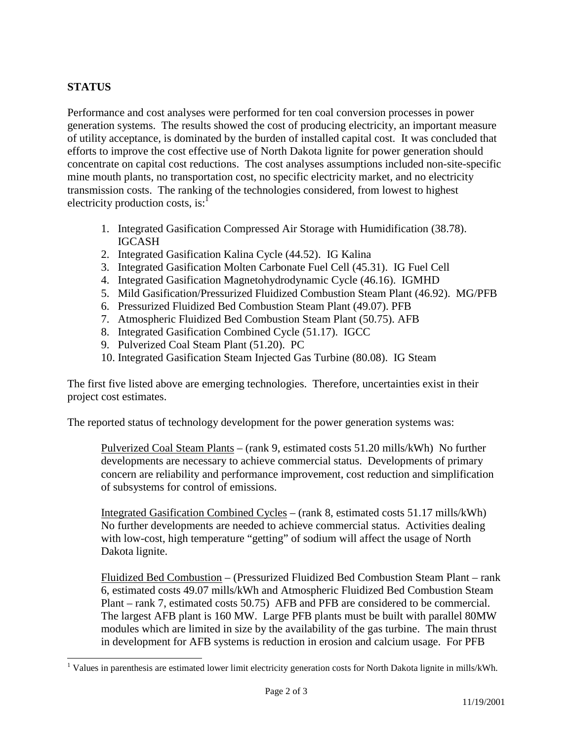## **STATUS**

 $\overline{a}$ 

Performance and cost analyses were performed for ten coal conversion processes in power generation systems. The results showed the cost of producing electricity, an important measure of utility acceptance, is dominated by the burden of installed capital cost. It was concluded that efforts to improve the cost effective use of North Dakota lignite for power generation should concentrate on capital cost reductions. The cost analyses assumptions included non-site-specific mine mouth plants, no transportation cost, no specific electricity market, and no electricity transmission costs. The ranking of the technologies considered, from lowest to highest electricity production costs, is: $<sup>1</sup>$ </sup>

- 1. Integrated Gasification Compressed Air Storage with Humidification (38.78). IGCASH
- 2. Integrated Gasification Kalina Cycle (44.52). IG Kalina
- 3. Integrated Gasification Molten Carbonate Fuel Cell (45.31). IG Fuel Cell
- 4. Integrated Gasification Magnetohydrodynamic Cycle (46.16). IGMHD
- 5. Mild Gasification/Pressurized Fluidized Combustion Steam Plant (46.92). MG/PFB
- 6. Pressurized Fluidized Bed Combustion Steam Plant (49.07). PFB
- 7. Atmospheric Fluidized Bed Combustion Steam Plant (50.75). AFB
- 8. Integrated Gasification Combined Cycle (51.17). IGCC
- 9. Pulverized Coal Steam Plant (51.20). PC
- 10. Integrated Gasification Steam Injected Gas Turbine (80.08). IG Steam

The first five listed above are emerging technologies. Therefore, uncertainties exist in their project cost estimates.

The reported status of technology development for the power generation systems was:

 Pulverized Coal Steam Plants – (rank 9, estimated costs 51.20 mills/kWh) No further developments are necessary to achieve commercial status. Developments of primary concern are reliability and performance improvement, cost reduction and simplification of subsystems for control of emissions.

 Integrated Gasification Combined Cycles – (rank 8, estimated costs 51.17 mills/kWh) No further developments are needed to achieve commercial status. Activities dealing with low-cost, high temperature "getting" of sodium will affect the usage of North Dakota lignite.

 Fluidized Bed Combustion – (Pressurized Fluidized Bed Combustion Steam Plant – rank 6, estimated costs 49.07 mills/kWh and Atmospheric Fluidized Bed Combustion Steam Plant – rank 7, estimated costs 50.75) AFB and PFB are considered to be commercial. The largest AFB plant is 160 MW. Large PFB plants must be built with parallel 80MW modules which are limited in size by the availability of the gas turbine. The main thrust in development for AFB systems is reduction in erosion and calcium usage. For PFB

<sup>&</sup>lt;sup>1</sup> Values in parenthesis are estimated lower limit electricity generation costs for North Dakota lignite in mills/kWh.